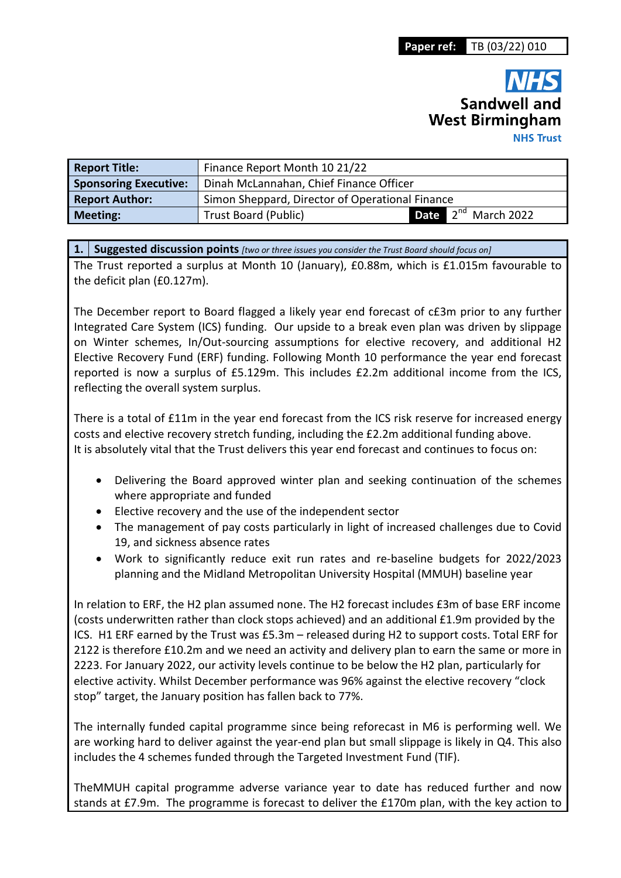# **Sandwell and West Birmingham NHS Trust**

| <b>Report Title:</b>         | Finance Report Month 10 21/22                   |  |  |                          |  |  |  |  |  |  |  |  |
|------------------------------|-------------------------------------------------|--|--|--------------------------|--|--|--|--|--|--|--|--|
| <b>Sponsoring Executive:</b> | Dinah McLannahan, Chief Finance Officer         |  |  |                          |  |  |  |  |  |  |  |  |
| <b>Report Author:</b>        | Simon Sheppard, Director of Operational Finance |  |  |                          |  |  |  |  |  |  |  |  |
| <b>Meeting:</b>              | <b>Trust Board (Public)</b>                     |  |  | Date $2^{nd}$ March 2022 |  |  |  |  |  |  |  |  |

**1. Suggested discussion points** *[two or three issues you consider the Trust Board should focus on]* 

The Trust reported a surplus at Month 10 (January), £0.88m, which is £1.015m favourable to the deficit plan (£0.127m).

The December report to Board flagged a likely year end forecast of c£3m prior to any further Integrated Care System (ICS) funding. Our upside to a break even plan was driven by slippage on Winter schemes, In/Out-sourcing assumptions for elective recovery, and additional H2 Elective Recovery Fund (ERF) funding. Following Month 10 performance the year end forecast reported is now a surplus of £5.129m. This includes £2.2m additional income from the ICS, reflecting the overall system surplus.

There is a total of £11m in the year end forecast from the ICS risk reserve for increased energy costs and elective recovery stretch funding, including the £2.2m additional funding above. It is absolutely vital that the Trust delivers this year end forecast and continues to focus on:

- Delivering the Board approved winter plan and seeking continuation of the schemes where appropriate and funded
- Elective recovery and the use of the independent sector
- The management of pay costs particularly in light of increased challenges due to Covid 19, and sickness absence rates
- Work to significantly reduce exit run rates and re-baseline budgets for 2022/2023 planning and the Midland Metropolitan University Hospital (MMUH) baseline year

In relation to ERF, the H2 plan assumed none. The H2 forecast includes £3m of base ERF income (costs underwritten rather than clock stops achieved) and an additional £1.9m provided by the ICS. H1 ERF earned by the Trust was £5.3m – released during H2 to support costs. Total ERF for 2122 is therefore £10.2m and we need an activity and delivery plan to earn the same or more in 2223. For January 2022, our activity levels continue to be below the H2 plan, particularly for elective activity. Whilst December performance was 96% against the elective recovery "clock stop" target, the January position has fallen back to 77%.

The internally funded capital programme since being reforecast in M6 is performing well. We are working hard to deliver against the year-end plan but small slippage is likely in Q4. This also includes the 4 schemes funded through the Targeted Investment Fund (TIF).

TheMMUH capital programme adverse variance year to date has reduced further and now stands at £7.9m. The programme is forecast to deliver the £170m plan, with the key action to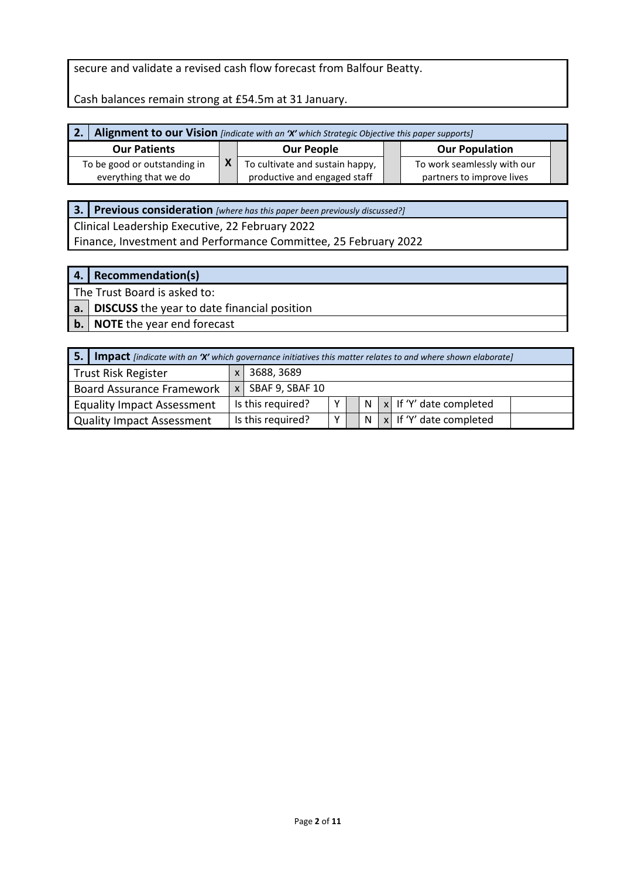#### secure and validate a revised cash flow forecast from Balfour Beatty.

Cash balances remain strong at £54.5m at 31 January.

| 2. Alignment to our Vision [indicate with an 'X' which Strategic Objective this paper supports] |                   |                                 |                       |                             |  |  |  |  |  |  |  |  |  |
|-------------------------------------------------------------------------------------------------|-------------------|---------------------------------|-----------------------|-----------------------------|--|--|--|--|--|--|--|--|--|
| <b>Our Patients</b>                                                                             | <b>Our People</b> |                                 | <b>Our Population</b> |                             |  |  |  |  |  |  |  |  |  |
| To be good or outstanding in                                                                    |                   | To cultivate and sustain happy, |                       | To work seamlessly with our |  |  |  |  |  |  |  |  |  |
| everything that we do                                                                           |                   | productive and engaged staff    |                       | partners to improve lives   |  |  |  |  |  |  |  |  |  |

**3. Previous consideration** *[where has this paper been previously discussed?]*

Clinical Leadership Executive, 22 February 2022 Finance, Investment and Performance Committee, 25 February 2022

#### **4. Recommendation(s)**

The Trust Board is asked to:

**a. DISCUSS** the year to date financial position

**b. NOTE** the year end forecast

| -5.                                      | <b>Impact</b> [indicate with an 'X' which governance initiatives this matter relates to and where shown elaborate] |                     |   |  |   |  |                             |  |  |  |  |  |  |  |
|------------------------------------------|--------------------------------------------------------------------------------------------------------------------|---------------------|---|--|---|--|-----------------------------|--|--|--|--|--|--|--|
| <b>Trust Risk Register</b><br>3688, 3689 |                                                                                                                    |                     |   |  |   |  |                             |  |  |  |  |  |  |  |
| <b>Board Assurance Framework</b>         |                                                                                                                    | $x$ SBAF 9, SBAF 10 |   |  |   |  |                             |  |  |  |  |  |  |  |
| <b>Equality Impact Assessment</b>        |                                                                                                                    | Is this required?   | v |  | N |  | $ x $ If 'Y' date completed |  |  |  |  |  |  |  |
| Quality Impact Assessment                |                                                                                                                    | Is this required?   | v |  | N |  | $x$ If 'Y' date completed   |  |  |  |  |  |  |  |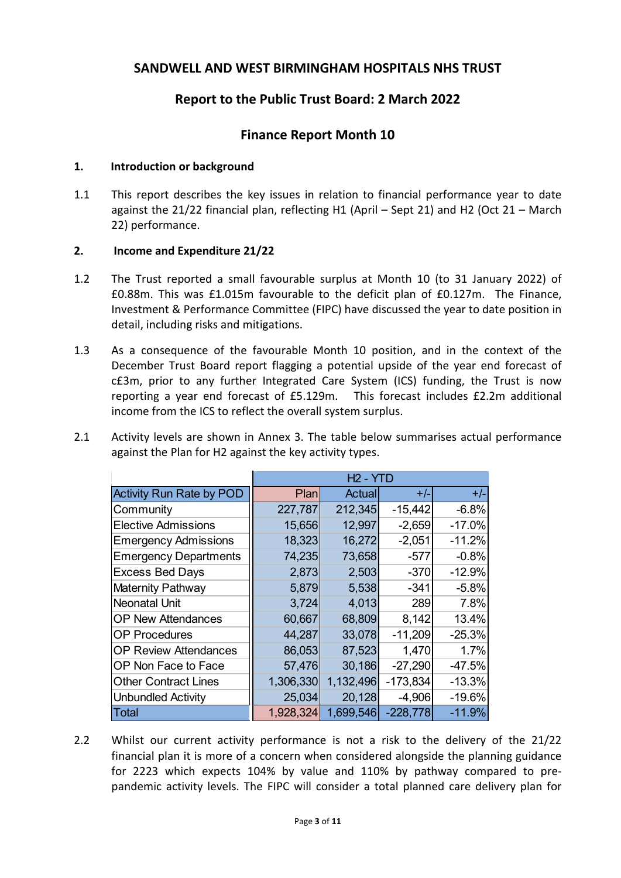# **SANDWELL AND WEST BIRMINGHAM HOSPITALS NHS TRUST**

# **Report to the Public Trust Board: 2 March 2022**

# **Finance Report Month 10**

#### **1. Introduction or background**

1.1 This report describes the key issues in relation to financial performance year to date against the 21/22 financial plan, reflecting H1 (April – Sept 21) and H2 (Oct 21 – March 22) performance.

#### **2. Income and Expenditure 21/22**

- 1.2 The Trust reported a small favourable surplus at Month 10 (to 31 January 2022) of £0.88m. This was £1.015m favourable to the deficit plan of £0.127m. The Finance, Investment & Performance Committee (FIPC) have discussed the year to date position in detail, including risks and mitigations.
- 1.3 As a consequence of the favourable Month 10 position, and in the context of the December Trust Board report flagging a potential upside of the year end forecast of c£3m, prior to any further Integrated Care System (ICS) funding, the Trust is now reporting a year end forecast of £5.129m. This forecast includes £2.2m additional income from the ICS to reflect the overall system surplus.
- 2.1 Activity levels are shown in Annex 3. The table below summarises actual performance against the Plan for H2 against the key activity types.

|                                 |           | $H2 - YTD$ |            |          |
|---------------------------------|-----------|------------|------------|----------|
| <b>Activity Run Rate by POD</b> | Planl     | Actual     | $+/-$      | $+/-$    |
| Community                       | 227,787   | 212,345    | $-15,442$  | $-6.8%$  |
| <b>Elective Admissions</b>      | 15,656    | 12,997     | $-2,659$   | $-17.0%$ |
| <b>Emergency Admissions</b>     | 18,323    | 16,272     | $-2,051$   | $-11.2%$ |
| <b>Emergency Departments</b>    | 74,235    | 73,658     | $-577$     | $-0.8%$  |
| <b>Excess Bed Days</b>          | 2,873     | 2,503      | $-370$     | $-12.9%$ |
| Maternity Pathway               | 5,879     | 5,538      | $-341$     | $-5.8%$  |
| <b>Neonatal Unit</b>            | 3,724     | 4,013      | 289        | 7.8%     |
| <b>OP New Attendances</b>       | 60,667    | 68,809     | 8,142      | 13.4%    |
| <b>OP Procedures</b>            | 44,287    | 33,078     | $-11,209$  | $-25.3%$ |
| <b>OP Review Attendances</b>    | 86,053    | 87,523     | 1,470      | 1.7%     |
| OP Non Face to Face             | 57,476    | 30,186     | $-27,290$  | $-47.5%$ |
| <b>Other Contract Lines</b>     | 1,306,330 | 1,132,496  | $-173,834$ | $-13.3%$ |
| <b>Unbundled Activity</b>       | 25,034    | 20,128     | $-4,906$   | $-19.6%$ |
| <b>Total</b>                    | 1,928,324 | 1,699,546  | $-228,778$ | $-11.9%$ |

2.2 Whilst our current activity performance is not a risk to the delivery of the 21/22 financial plan it is more of a concern when considered alongside the planning guidance for 2223 which expects 104% by value and 110% by pathway compared to prepandemic activity levels. The FIPC will consider a total planned care delivery plan for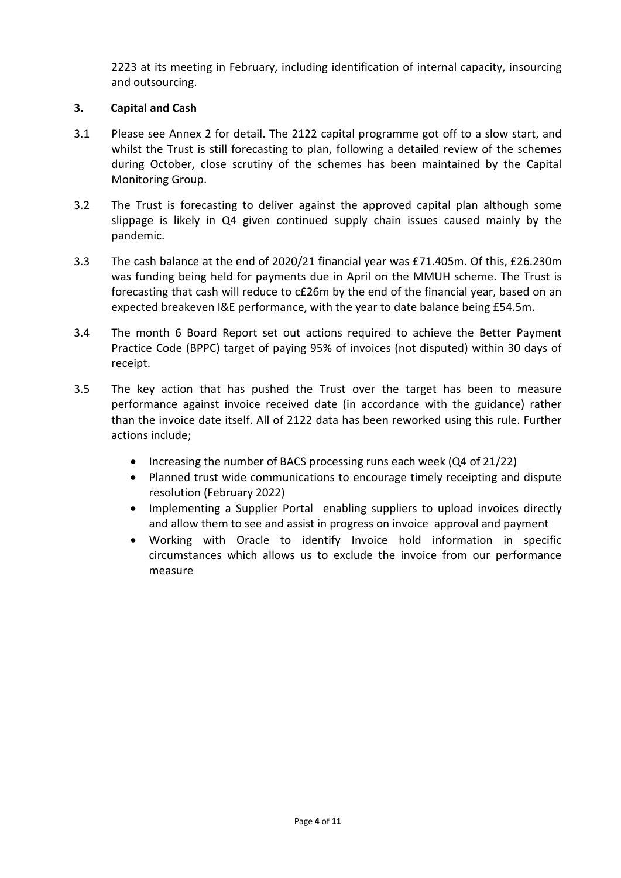2223 at its meeting in February, including identification of internal capacity, insourcing and outsourcing.

#### **3. Capital and Cash**

- 3.1 Please see Annex 2 for detail. The 2122 capital programme got off to a slow start, and whilst the Trust is still forecasting to plan, following a detailed review of the schemes during October, close scrutiny of the schemes has been maintained by the Capital Monitoring Group.
- 3.2 The Trust is forecasting to deliver against the approved capital plan although some slippage is likely in Q4 given continued supply chain issues caused mainly by the pandemic.
- 3.3 The cash balance at the end of 2020/21 financial year was £71.405m. Of this, £26.230m was funding being held for payments due in April on the MMUH scheme. The Trust is forecasting that cash will reduce to c£26m by the end of the financial year, based on an expected breakeven I&E performance, with the year to date balance being £54.5m.
- 3.4 The month 6 Board Report set out actions required to achieve the Better Payment Practice Code (BPPC) target of paying 95% of invoices (not disputed) within 30 days of receipt.
- 3.5 The key action that has pushed the Trust over the target has been to measure performance against invoice received date (in accordance with the guidance) rather than the invoice date itself. All of 2122 data has been reworked using this rule. Further actions include;
	- Increasing the number of BACS processing runs each week (Q4 of 21/22)
	- Planned trust wide communications to encourage timely receipting and dispute resolution (February 2022)
	- Implementing a Supplier Portal enabling suppliers to upload invoices directly and allow them to see and assist in progress on invoice approval and payment
	- Working with Oracle to identify Invoice hold information in specific circumstances which allows us to exclude the invoice from our performance measure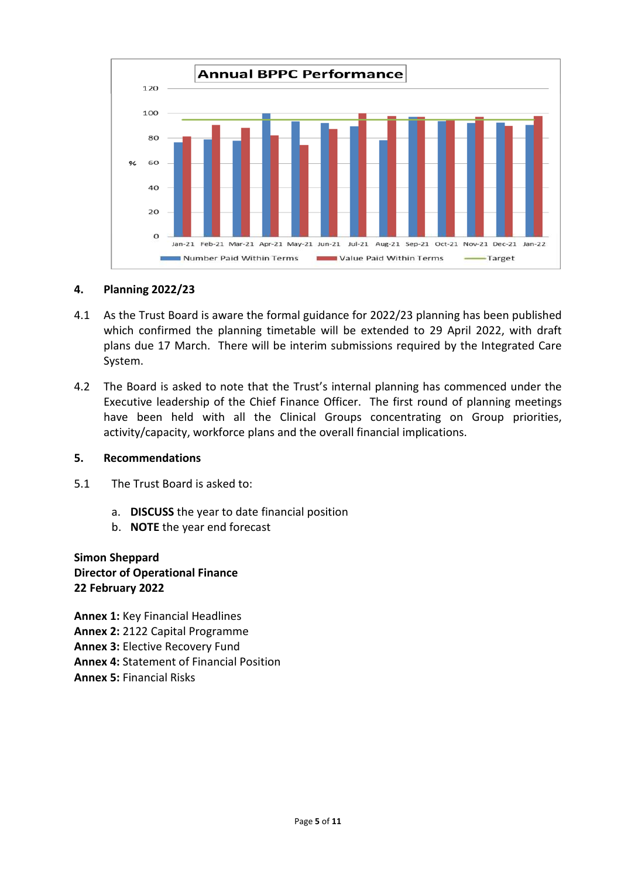

#### **4. Planning 2022/23**

- 4.1 As the Trust Board is aware the formal guidance for 2022/23 planning has been published which confirmed the planning timetable will be extended to 29 April 2022, with draft plans due 17 March. There will be interim submissions required by the Integrated Care System.
- 4.2 The Board is asked to note that the Trust's internal planning has commenced under the Executive leadership of the Chief Finance Officer. The first round of planning meetings have been held with all the Clinical Groups concentrating on Group priorities, activity/capacity, workforce plans and the overall financial implications.

#### **5. Recommendations**

- 5.1 The Trust Board is asked to:
	- a. **DISCUSS** the year to date financial position
	- b. **NOTE** the year end forecast

## **Simon Sheppard Director of Operational Finance 22 February 2022**

**Annex 1:** Key Financial Headlines **Annex 2:** 2122 Capital Programme **Annex 3:** Elective Recovery Fund **Annex 4:** Statement of Financial Position **Annex 5:** Financial Risks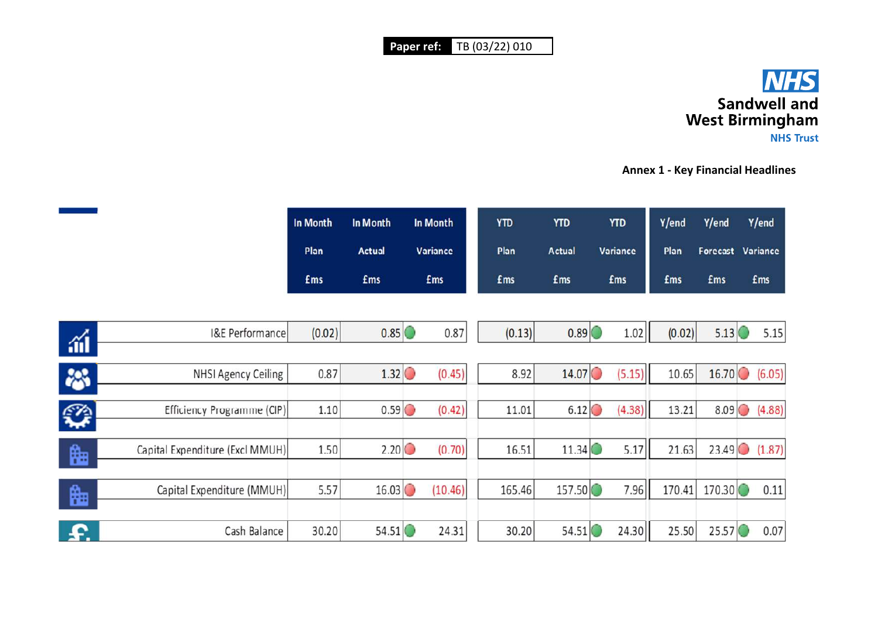

**Annex 1 - Key Financial Headlines** 

|                                 | In Month<br>Plan | In Month<br>Actual | In Month<br>Variance | <b>YTD</b><br>Plan | <b>YTD</b><br><b>Actual</b> | <b>YTD</b><br><b>Variance</b> | Y/end<br>Plan | Y/end      | Y/end<br>Forecast Variance |
|---------------------------------|------------------|--------------------|----------------------|--------------------|-----------------------------|-------------------------------|---------------|------------|----------------------------|
|                                 | <b>£ms</b>       | <b>£ms</b>         | <b>£ms</b>           | <b>£ms</b>         | £ms                         | <b>£ms</b>                    | <b>£ms</b>    | <b>fms</b> | <b>fms</b>                 |
|                                 |                  |                    |                      |                    |                             |                               |               |            |                            |
| <b>I&amp;E Performance</b>      | (0.02)           | 0.85               | 0.87                 | (0.13)             | 0.89                        | 1.02                          | (0.02)        | 5.13       | 5.15                       |
|                                 |                  |                    |                      |                    |                             |                               |               |            |                            |
| <b>NHSI Agency Ceiling</b>      | 0.87             | 1.32               | (0.45)               | 8.92               | 14.07                       | (5.15)                        | 10.65         | 16.70      | (6.05)                     |
|                                 |                  |                    |                      |                    |                             |                               |               |            |                            |
| Efficiency Programme (CIP)      | 1.10             | 0.59               | (0.42)               | 11.01              | 6.12                        | (4.38)                        | 13.21         | 8.09       | (4.88)                     |
|                                 |                  |                    |                      |                    |                             |                               |               |            |                            |
| Capital Expenditure (Excl MMUH) | 1.50             | 2.20               | (0.70)               | 16.51              | 11.34                       | 5.17                          | 21.63         | 23.49      | (1.87)                     |
|                                 |                  |                    |                      |                    |                             |                               |               |            |                            |
| Capital Expenditure (MMUH)      | 5.57             | 16.03              | (10.46)              | 165.46             | 157.50                      | 7.96                          | 170.41        | 170.30     | 0.11                       |
|                                 |                  |                    |                      |                    |                             |                               |               |            |                            |
| Cash Balance                    | 30.20            | 54.51              | 24.31                | 30.20              | 54.51                       | 24.30                         | 25.50         | 25.57      | 0.07                       |

涌

器

<del>ू</del>

饇

饇

£.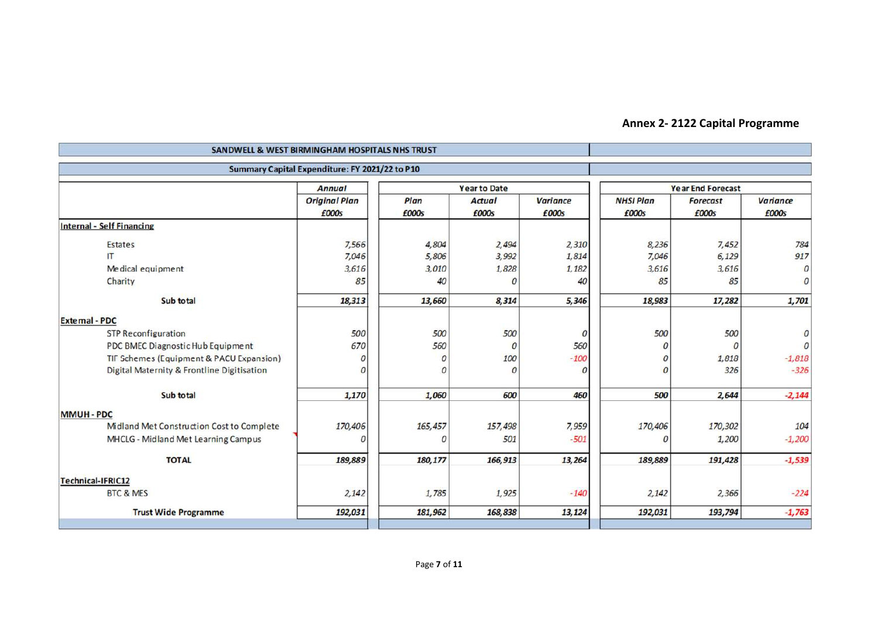# **Annex 2- 2122 Capital Programme**

| SANDWELL & WEST BIRMINGHAM HOSPITALS NHS TRUST |                                                |                  |                     |                 |                          |                 |               |  |  |
|------------------------------------------------|------------------------------------------------|------------------|---------------------|-----------------|--------------------------|-----------------|---------------|--|--|
|                                                | Summary Capital Expenditure: FY 2021/22 to P10 |                  |                     |                 |                          |                 |               |  |  |
|                                                | <b>Annual</b>                                  |                  | <b>Year to Date</b> |                 | <b>Year End Forecast</b> |                 |               |  |  |
|                                                | <b>Original Plan</b>                           | Plan             | <b>Actual</b>       | <b>Variance</b> | <b>NHSI Plan</b>         | <b>Forecast</b> | Variance      |  |  |
|                                                | £000s                                          | £000s            | £000s               | £000s           | £000s                    | £000s           | £000s         |  |  |
| <b>Internal - Self Financing</b>               |                                                |                  |                     |                 |                          |                 |               |  |  |
| <b>Estates</b>                                 | 7,566                                          | 4,804            | 2,494               | 2,310           | 8,236                    | 7,452           | 784           |  |  |
| $^{\text{IT}}$                                 | 7,046                                          | 5,806            | 3,992               | 1,814           | 7,046                    | 6,129           | 917           |  |  |
| Medical equipment                              | 3,616                                          | 3,010            | 1,828               | 1,182           | 3,616                    | 3,616           | $\mathcal{O}$ |  |  |
| Charity                                        | 85                                             | 40               | $\sqrt{2}$          | 40              | 85                       | 85              | $\Omega$      |  |  |
| Sub total                                      | 18,313                                         | 13,660           | 8,314               | 5,346           | 18,983                   | 17,282          | 1,701         |  |  |
| <b>External - PDC</b>                          |                                                |                  |                     |                 |                          |                 |               |  |  |
| <b>STP Reconfiguration</b>                     | 500                                            | 500              | 500                 | $\overline{0}$  | 500                      | 500             |               |  |  |
| PDC BMEC Diagnostic Hub Equipment              | 670                                            | 560              | $\mathcal{O}$       | 560             | $\overline{O}$           | $\Omega$        |               |  |  |
| TIF Schemes (Equipment & PACU Expansion)       | $\Omega$                                       | $\boldsymbol{0}$ | 100                 | $-100$          | $\overline{O}$           | 1,818           | $-1,818$      |  |  |
| Digital Maternity & Frontline Digitisation     | $\boldsymbol{0}$                               | 0                | $\boldsymbol{0}$    | $\overline{0}$  | $\boldsymbol{0}$         | 326             | $-326$        |  |  |
| Sub total                                      | 1,170                                          | 1,060            | 600                 | 460             | 500                      | 2,644           | $-2,144$      |  |  |
| <b>MMUH - PDC</b>                              |                                                |                  |                     |                 |                          |                 |               |  |  |
| Midland Met Construction Cost to Complete      | 170,406                                        | 165,457          | 157,498             | 7,959           | 170,406                  | 170,302         | 104           |  |  |
| MHCLG - Midland Met Learning Campus            | 0                                              | 0                | 501                 | $-501$          | $\mathcal{O}$            | 1,200           | $-1,200$      |  |  |
| <b>TOTAL</b>                                   | 189,889                                        | 180, 177         | 166,913             | 13,264          | 189,889                  | 191,428         | $-1,539$      |  |  |
| Technical-IFRIC12                              |                                                |                  |                     |                 |                          |                 |               |  |  |
| <b>BTC &amp; MES</b>                           | 2,142                                          | 1,785            | 1,925               | $-140$          | 2,142                    | 2,366           | $-224$        |  |  |
| <b>Trust Wide Programme</b>                    | 192,031                                        | 181,962          | 168,838             | 13,124          | 192,031                  | 193,794         | $-1,763$      |  |  |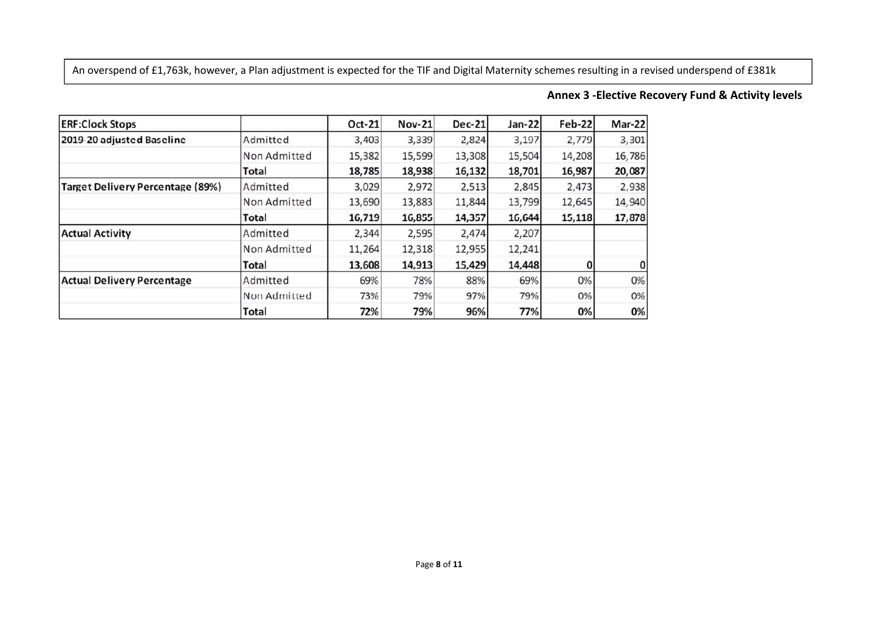An overspend of £1,763k, however, a Plan adjustment is expected for the TIF and Digital Maternity schemes resulting in a revised underspend of £381k

#### **Annex 3 -Elective Recovery Fund & Activity levels**

| <b>ERF:Clock Stops</b>                  |              | Oct-21 | <b>Nov-21</b> | <b>Dec-21</b> | $Jan-22$ | <b>Feb-22</b> | Mar-22 |
|-----------------------------------------|--------------|--------|---------------|---------------|----------|---------------|--------|
| 2019-20 adjusted Baseline               | Admitted     | 3,403  | 3,339         | 2,824         | 3,197    | 2,779         | 3,301  |
|                                         | Non Admitted | 15,382 | 15,599        | 13,308        | 15,504   | 14,208        | 16,786 |
|                                         | Total        | 18,785 | 18,938        | 16,132        | 18,701   | 16,987        | 20,087 |
| <b>Target Delivery Percentage (89%)</b> | Admitted     | 3,029  | 2,972         | 2,513         | 2,845    | 2,473         | 2,938  |
|                                         | Non Admitted | 13,690 | 13,883        | 11,844        | 13,799   | 12,645        | 14,940 |
|                                         | <b>Total</b> | 16,719 | 16,855        | 14,357        | 16,644   | 15,118        | 17,878 |
| <b>Actual Activity</b>                  | Admitted     | 2,344  | 2,595         | 2,474         | 2,207    |               |        |
|                                         | Non Admitted | 11,264 | 12,318        | 12,955        | 12,241   |               |        |
|                                         | Total        | 13,608 | 14,913        | 15,429        | 14,448   |               | 0      |
| <b>Actual Delivery Percentage</b>       | Admitted     | 69%    | 78%           | 88%           | 69%      | 0%            | 0%     |
|                                         | Non Admitted | 73%    | 79%           | 97%           | 79%      | 0%            | 0%     |
|                                         | Total        | 72%    | 79%           | 96%           | 77%      | 0%            | 0%     |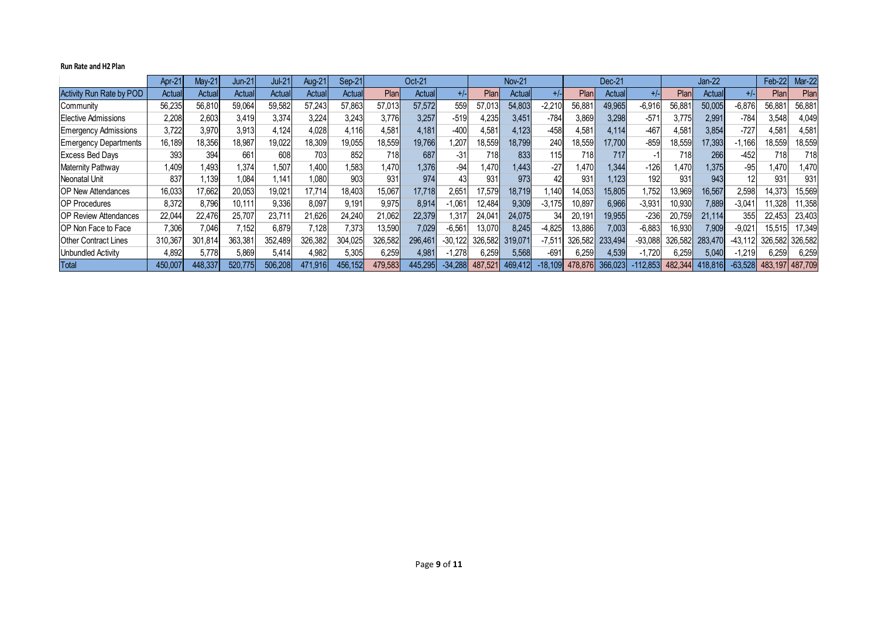#### **Run Rate and H2 Plan**

|                              | Apr-21  | $M$ ay-21    | $Jun-21$ | $Jul-21$ | <b>Aug-21</b>    | Sep-21  |         | Oct-21  |           |         | <b>Nov-21</b> |          |         | Dec-21  |           |         | $Jan-22$ |           | Feb-22          | <b>Mar-22</b> |
|------------------------------|---------|--------------|----------|----------|------------------|---------|---------|---------|-----------|---------|---------------|----------|---------|---------|-----------|---------|----------|-----------|-----------------|---------------|
| Activity Run Rate by POD     | Actual  | Actual       | Actual   | Actual   | Actual           | Actual  | Plan    | Actual  | +/-       | Plar    | Actual        |          | Plan    | Actual  | +/-       | Plar    | Actual   |           | Plan            | Plan          |
| Community                    | 56,235  | 56,810       | 59,064   | 59,582   | 57,243           | 57,863  | 57,013  | 57,572  | 559       | 57,013  | 54,803        | $-2,210$ | 56,881  | 49,965  | $-6,916$  | 56,881  | 50,005   | $-6,876$  | 56,88           | 56,881        |
| Elective Admissions          | 2,208   | 2,603        | 3,419    | 3,374    | 3,224            | 3,243   | 3,776   | 3,257   | $-519$    | 4,235   | 3,451         | $-784$   | 3,869   | 3,298   | $-571$    | 3,775   | 2,991    | $-784$    | 3,548           | 4,049         |
| <b>Emergency Admissions</b>  | 3,722   | 3.97         | 3.913    | 4.124    | 4,028            | 4.116   | 4,581   | 4,181   | $-400$    | 4,581   | 4,123         | $-458$   | 4,581   | 4,114   | $-467$    | 4.581   | 3,854    | $-727$    | 4,581           | 4,581         |
| <b>Emergency Departments</b> | 16,189  | 18,356       | 18,987   | 19,022   | 18,309           | 19,055  | 18,559  | 19,766  | ,207      | 18,559  | 18,799        | 240      | 18,559  | 17,700  | $-859$    | 18,559  | 17,393   | $-1,166$  | 18,559          | 18,559        |
| <b>Excess Bed Days</b>       | 393     | 394          | 661      | 608      | 703              | 852     | 718     | 687     | -31       | 718     | 833           | 115      | 718     | 717     |           | 718     | 266      | $-452$    | 718             | 718)          |
| <b>Maternity Pathway</b>     | 1,409   | <b>1.493</b> | 1.374    | 1.507    | 1,400            | .583    | 1.470   | 1,376   | -94       | 1,470   | 1,443         | $-27$    | 1,470   | 1.344   | $-126$    | 1,470   | 1.375    | $-95$     | 1.470           | 1,470         |
| Neonatal Unit                | 837     | 1,139        | 1,084    | 1.141    | 1.080            | 903     | 931     | 974     | 43        | 931     | 973           | 42       | 931     | 1.123   | 192       | 931     | 943      | 12        | 931             | 931           |
| <b>IOP New Attendances</b>   | 16,033  | 17,662       | 20,053   | 19,021   | 17,714           | 18,403  | 15,067  | 17,718  | 2,651     | 17,579  | 18,719        | 1,140    | 14,053  | 15,805  | ,752      | 13,969  | 16,567   | 2,598     | 14,373          | 15,569        |
| <b>OP Procedures</b>         | 8.372   | 8,796        | 10,111   | 9,336    | 8,097            | 9,191   | 9,975   | 8,914   | $-1,061$  | 12,484  | 9,309         | $-3,175$ | 10,897  | 6,966   | $-3,931$  | 10,930  | 7,889    | $-3,041$  | 11,328          | 11,358        |
| <b>OP Review Attendances</b> | 22.044  | 22,476       | 25,707   | 23,71'   | 21,626           | 24,240  | 21,062  | 22,379  | .317      | 24,041  | 24,075        | 34       | 20,191  | 19,955  | $-236$    | 20,759  | 21,114   | 355       | 22,453          | 23,403        |
| <b>OP Non Face to Face</b>   | 7,306   | 7,046        | 7,152    | 6,879    | $^{\prime}$ .128 | 7,373   | 13,590  | 7,029   | $-6,561$  | 13,070  | 8,245         | $-4,825$ | 13,886  | 7.003   | $-6,883$  | 16,930  | 7,909    | $-9,021$  | 15,515          | 17,349        |
| <b>Other Contract Lines</b>  | 310,367 | 301,814      | 363,381  | 352.489  | 326,382          | 304.025 | 326,582 | 296.461 | $-30,122$ | 326,582 | 319,071       | $-7.51'$ | 326.582 | 233.494 | $-93,088$ | 326,582 | 283.470  | $-43.112$ | 326,582         | 326.582       |
| <b>Unbundled Activity</b>    | 4,892   | 5,778        | 5,869    | 5.414    | 4,982            | 5,305   | 6,259   | 4,981   | 1,278     | 6,259   | 5,568         | $-691$   | 6,259   | 4,539   | $-1,720$  | 6,259   | 5,040    | $-1,219$  | 6,259           | 6,259         |
| Total                        | 450,007 | 448,337      | 520,775  | 506.208  | 471,916          | 456,152 | 479,583 | 445,295 | $-34,288$ | 487,521 | 469,412       | .18,109  | 478.876 | 366,023 | 112,853   | 482,344 | 418,816  | $-63,528$ | 483,197 487,709 |               |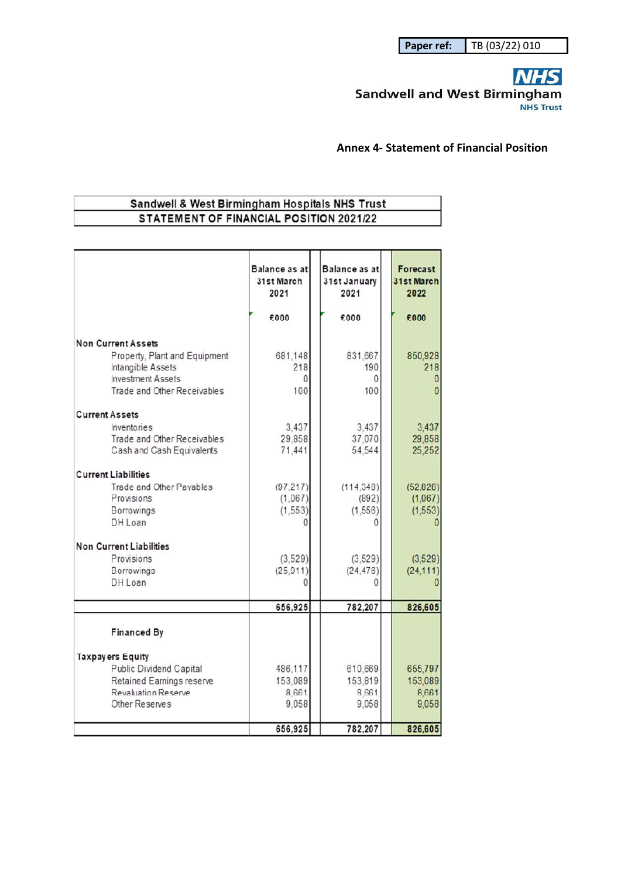### **NHS** Sandwell and West Birmingham **NHS Trust**

#### **Annex 4- Statement of Financial Position**

# Sandwell & West Birmingham Hospitals NHS Trust STATEMENT OF FINANCIAL POSITION 2021/22

|                                                         | Balance as at<br>31st March<br>2021<br>£000 | Balance as at<br>31st January<br>2021<br>£000 | Forecast<br>31st March<br>2022<br>£000 |
|---------------------------------------------------------|---------------------------------------------|-----------------------------------------------|----------------------------------------|
|                                                         |                                             |                                               |                                        |
| <b>Non Current Assets</b>                               |                                             |                                               |                                        |
| Property, Plant and Equipment                           | 681,148                                     | 831.667                                       | 850,928                                |
| Intangible Assets                                       | 218                                         | 190<br><sup>0</sup>                           | 218                                    |
| <b>Investment Assets</b><br>Trade and Other Receivables | Ω<br>100                                    | 100                                           |                                        |
|                                                         |                                             |                                               |                                        |
| <b>Current Assets</b>                                   |                                             |                                               |                                        |
| Inventories                                             | 3.437                                       | 3.437                                         | 3,437                                  |
| Trade and Other Receivables                             | 29,858                                      | 37.070                                        | 29,858                                 |
| Cash and Cash Equivalents                               | 71,441                                      | 54,544                                        | 25,252                                 |
| <b>Current Liabilities</b>                              |                                             |                                               |                                        |
| Trade and Other Payables                                | (97.217)                                    | (114, 348)                                    | (52, 828)                              |
| Provisions                                              | (1,067)                                     | (892)                                         | (1,067)                                |
| Borrowings                                              | (1, 553)                                    | (1, 556)                                      | (1, 553)                               |
| DH Loan                                                 |                                             | 0                                             |                                        |
| <b>Non Current Liabilities</b>                          |                                             |                                               |                                        |
| Provisions                                              | (3.529)                                     | (3.529)                                       | (3,529)                                |
| Borrowings                                              | (25, 911)                                   | (24, 476)                                     | (24, 111)                              |
| DH Loan                                                 |                                             | n                                             |                                        |
|                                                         | 656,925                                     | 782,207                                       | 826,605                                |
|                                                         |                                             |                                               |                                        |
| <b>Financed By</b>                                      |                                             |                                               |                                        |
| <b>Taxpayers Equity</b>                                 |                                             |                                               |                                        |
| Public Dividend Capital                                 | 486,117                                     | 610,669                                       | 655,797                                |
| Retained Earnings reserve                               | 153,089                                     | 153,819                                       | 153,089                                |
| <b>Revaluation Reserve</b>                              | 8.661                                       | 8.661                                         | 8.661                                  |
| Other Reserves                                          | 9,058                                       | 9,058                                         | 9,058                                  |
|                                                         |                                             |                                               |                                        |
|                                                         | 656,925                                     | 782,207                                       | 826,605                                |